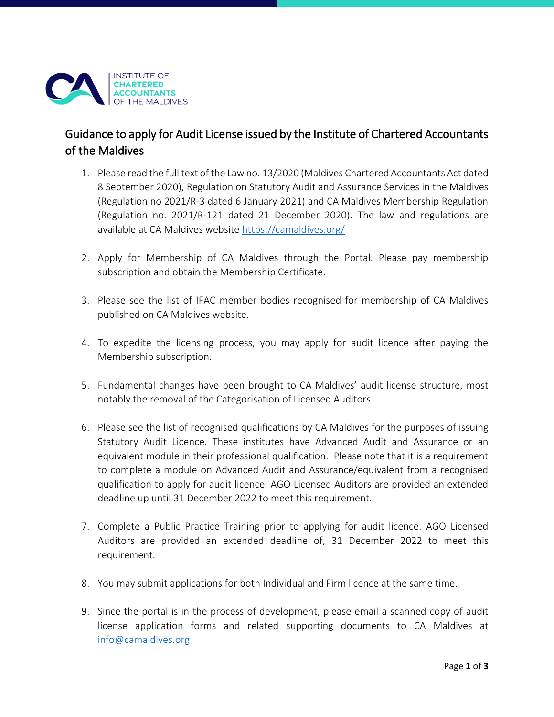

## Guidance to apply for Audit License issued by the Institute of Chartered Accountants of the Maldives

- 1. Please read the full text of the Law no. 13/2020 (Maldives Chartered Accountants Act dated 8 September 2020), Regulation on Statutory Audit and Assurance Services in the Maldives (Regulation no 2021/R-3 dated 6 January 2021) and CA Maldives Membership Regulation (Regulation no. 2021/R-121 dated 21 December 2020). The law and regulations are available at CA Maldives website<https://camaldives.org/>
- 2. Apply for Membership of CA Maldives through the Portal. Please pay membership subscription and obtain the Membership Certificate.
- 3. Please see the list of IFAC member bodies recognised for membership of CA Maldives published on CA Maldives website.
- 4. To expedite the licensing process, you may apply for audit licence after paying the Membership subscription.
- 5. Fundamental changes have been brought to CA Maldives' audit license structure, most notably the removal of the Categorisation of Licensed Auditors.
- 6. Please see the list of recognised qualifications by CA Maldives for the purposes of issuing Statutory Audit Licence. These institutes have Advanced Audit and Assurance or an equivalent module in their professional qualification. Please note that it is a requirement to complete a module on Advanced Audit and Assurance/equivalent from a recognised qualification to apply for audit licence. AGO Licensed Auditors are provided an extended deadline up until 31 December 2022 to meet this requirement.
- 7. Complete a Public Practice Training prior to applying for audit licence. AGO Licensed Auditors are provided an extended deadline of, 31 December 2022 to meet this requirement.
- 8. You may submit applications for both Individual and Firm licence at the same time.
- 9. Since the portal is in the process of development, please email a scanned copy of audit license application forms and related supporting documents to CA Maldives at [info@camaldives.org](mailto:info@camaldives.org)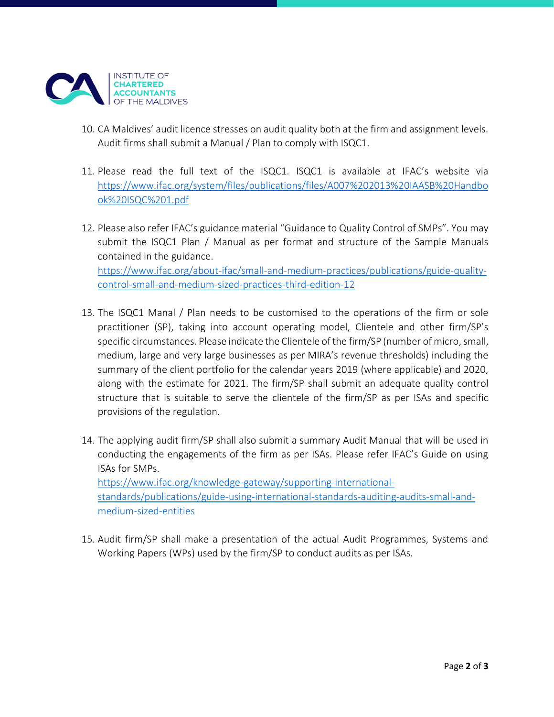

- 10. CA Maldives' audit licence stresses on audit quality both at the firm and assignment levels. Audit firms shall submit a Manual / Plan to comply with ISQC1.
- 11. Please read the full text of the ISQC1. ISQC1 is available at IFAC's website via [https://www.ifac.org/system/files/publications/files/A007%202013%20IAASB%20Handbo](https://www.ifac.org/system/files/publications/files/A007%202013%20IAASB%20Handbook%20ISQC%201.pdf) [ok%20ISQC%201.pdf](https://www.ifac.org/system/files/publications/files/A007%202013%20IAASB%20Handbook%20ISQC%201.pdf)
- 12. Please also refer IFAC's guidance material "Guidance to Quality Control of SMPs". You may submit the ISQC1 Plan / Manual as per format and structure of the Sample Manuals contained in the guidance. [https://www.ifac.org/about-ifac/small-and-medium-practices/publications/guide-quality](https://www.ifac.org/about-ifac/small-and-medium-practices/publications/guide-quality-control-small-and-medium-sized-practices-third-edition-12)[control-small-and-medium-sized-practices-third-edition-12](https://www.ifac.org/about-ifac/small-and-medium-practices/publications/guide-quality-control-small-and-medium-sized-practices-third-edition-12)
- 13. The ISQC1 Manal / Plan needs to be customised to the operations of the firm or sole practitioner (SP), taking into account operating model, Clientele and other firm/SP's specific circumstances. Please indicate the Clientele of the firm/SP (number of micro, small, medium, large and very large businesses as per MIRA's revenue thresholds) including the summary of the client portfolio for the calendar years 2019 (where applicable) and 2020, along with the estimate for 2021. The firm/SP shall submit an adequate quality control structure that is suitable to serve the clientele of the firm/SP as per ISAs and specific provisions of the regulation.
- 14. The applying audit firm/SP shall also submit a summary Audit Manual that will be used in conducting the engagements of the firm as per ISAs. Please refer IFAC's Guide on using ISAs for SMPs. [https://www.ifac.org/knowledge-gateway/supporting-international](https://www.ifac.org/knowledge-gateway/supporting-international-standards/publications/guide-using-international-standards-auditing-audits-small-and-medium-sized-entities)[standards/publications/guide-using-international-standards-auditing-audits-small-and](https://www.ifac.org/knowledge-gateway/supporting-international-standards/publications/guide-using-international-standards-auditing-audits-small-and-medium-sized-entities)[medium-sized-entities](https://www.ifac.org/knowledge-gateway/supporting-international-standards/publications/guide-using-international-standards-auditing-audits-small-and-medium-sized-entities)
- 15. Audit firm/SP shall make a presentation of the actual Audit Programmes, Systems and Working Papers (WPs) used by the firm/SP to conduct audits as per ISAs.